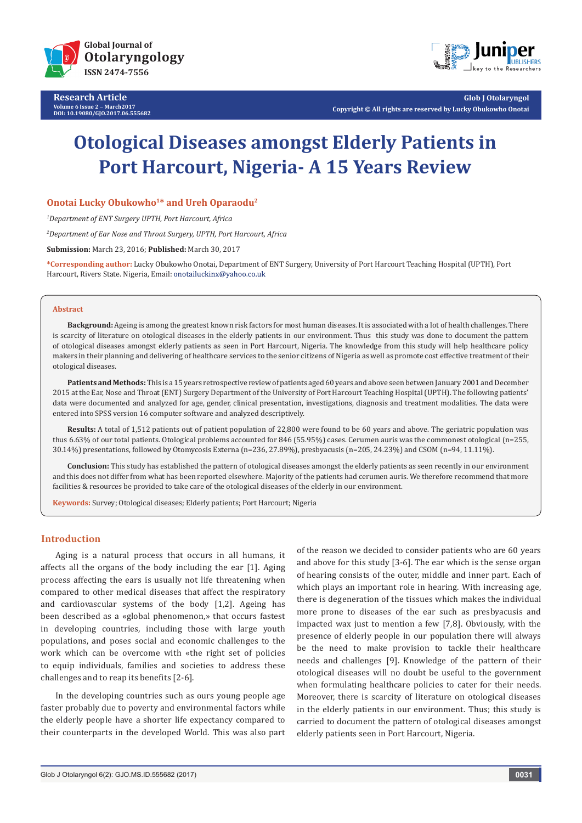

**Research Article Volume 6 Issue 2** - **March2017 DOI: [10.19080/GJO.2017.06.555682](http://dx.doi.org/10.19080/GJO.2017.06.555682)**



**Glob J Otolaryngol Copyright © All rights are reserved by Lucky Obukowho Onotai**

# **Otological Diseases amongst Elderly Patients in Port Harcourt, Nigeria- A 15 Years Review**

**Onotai Lucky Obukowho1\* and Ureh Oparaodu2**

*1 Department of ENT Surgery UPTH, Port Harcourt, Africa*

*2 Department of Ear Nose and Throat Surgery, UPTH, Port Harcourt, Africa*

**Submission:** March 23, 2016; **Published:** March 30, 2017

**\*Corresponding author:** Lucky Obukowho Onotai, Department of ENT Surgery, University of Port Harcourt Teaching Hospital (UPTH), Port Harcourt, Rivers State. Nigeria, Email: onotailuckinx@yahoo.co.uk

#### **Abstract**

**Background:** Ageing is among the greatest known risk factors for most human diseases. It is associated with a lot of health challenges. There is scarcity of literature on otological diseases in the elderly patients in our environment. Thus this study was done to document the pattern of otological diseases amongst elderly patients as seen in Port Harcourt, Nigeria. The knowledge from this study will help healthcare policy makers in their planning and delivering of healthcare services to the senior citizens of Nigeria as well as promote cost effective treatment of their otological diseases.

**Patients and Methods:** This is a 15 years retrospective review of patients aged 60 years and above seen between January 2001 and December 2015 at the Ear, Nose and Throat (ENT) Surgery Department of the University of Port Harcourt Teaching Hospital (UPTH). The following patients' data were documented and analyzed for age, gender, clinical presentation, investigations, diagnosis and treatment modalities. The data were entered into SPSS version 16 computer software and analyzed descriptively.

**Results:** A total of 1,512 patients out of patient population of 22,800 were found to be 60 years and above. The geriatric population was thus 6.63% of our total patients. Otological problems accounted for 846 (55.95%) cases. Cerumen auris was the commonest otological (n=255, 30.14%) presentations, followed by Otomycosis Externa (n=236, 27.89%), presbyacusis (n=205, 24.23%) and CSOM (n=94, 11.11%).

**Conclusion:** This study has established the pattern of otological diseases amongst the elderly patients as seen recently in our environment and this does not differ from what has been reported elsewhere. Majority of the patients had cerumen auris. We therefore recommend that more facilities & resources be provided to take care of the otological diseases of the elderly in our environment.

**Keywords:** Survey; Otological diseases; Elderly patients; Port Harcourt; Nigeria

# **Introduction**

Aging is a natural process that occurs in all humans, it affects all the organs of the body including the ear [1]. Aging process affecting the ears is usually not life threatening when compared to other medical diseases that affect the respiratory and cardiovascular systems of the body [1,2]. Ageing has been described as a «global phenomenon,» that occurs fastest in developing countries, including those with large youth populations, and poses social and economic challenges to the work which can be overcome with «the right set of policies to equip individuals, families and societies to address these challenges and to reap its benefits [2-6].

In the developing countries such as ours young people age faster probably due to poverty and environmental factors while the elderly people have a shorter life expectancy compared to their counterparts in the developed World. This was also part of the reason we decided to consider patients who are 60 years and above for this study [3-6]. The ear which is the sense organ of hearing consists of the outer, middle and inner part. Each of which plays an important role in hearing. With increasing age, there is degeneration of the tissues which makes the individual more prone to diseases of the ear such as presbyacusis and impacted wax just to mention a few [7,8]. Obviously, with the presence of elderly people in our population there will always be the need to make provision to tackle their healthcare needs and challenges [9]. Knowledge of the pattern of their otological diseases will no doubt be useful to the government when formulating healthcare policies to cater for their needs. Moreover, there is scarcity of literature on otological diseases in the elderly patients in our environment. Thus; this study is carried to document the pattern of otological diseases amongst elderly patients seen in Port Harcourt, Nigeria.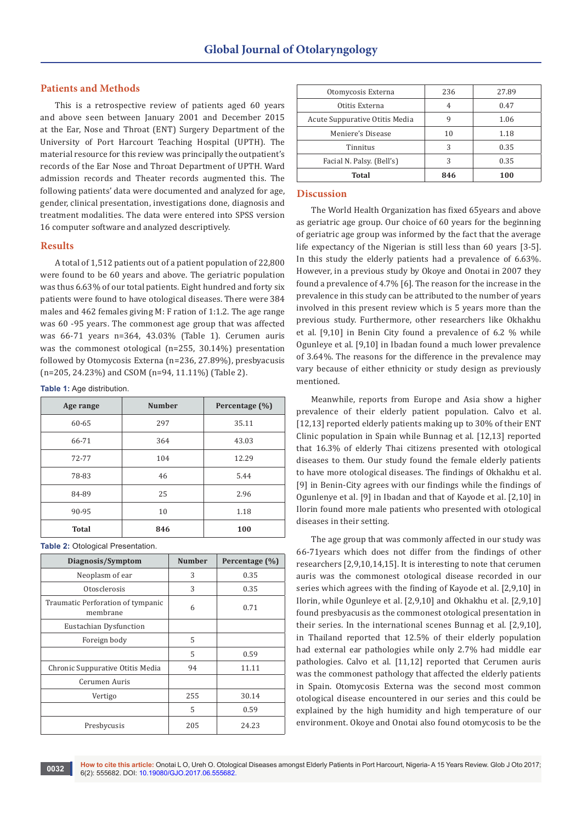## **Patients and Methods**

This is a retrospective review of patients aged 60 years and above seen between January 2001 and December 2015 at the Ear, Nose and Throat (ENT) Surgery Department of the University of Port Harcourt Teaching Hospital (UPTH). The material resource for this review was principally the outpatient's records of the Ear Nose and Throat Department of UPTH. Ward admission records and Theater records augmented this. The following patients' data were documented and analyzed for age, gender, clinical presentation, investigations done, diagnosis and treatment modalities. The data were entered into SPSS version 16 computer software and analyzed descriptively.

#### **Results**

A total of 1,512 patients out of a patient population of 22,800 were found to be 60 years and above. The geriatric population was thus 6.63% of our total patients. Eight hundred and forty six patients were found to have otological diseases. There were 384 males and 462 females giving M: F ration of 1:1.2. The age range was 60 -95 years. The commonest age group that was affected was 66-71 years n=364, 43.03% (Table 1). Cerumen auris was the commonest otological (n=255, 30.14%) presentation followed by Otomycosis Externa (n=236, 27.89%), presbyacusis (n=205, 24.23%) and CSOM (n=94, 11.11%) (Table 2).

**Table 1:** Age distribution.

| Age range    | <b>Number</b> | Percentage (%) |
|--------------|---------------|----------------|
| 60-65        | 297           | 35.11          |
| 66-71        | 364           | 43.03          |
| 72-77        | 104           | 12.29          |
| 78-83        | 46            | 5.44           |
| 84-89        | 25            | 2.96           |
| 90-95        | 10            | 1.18           |
| <b>Total</b> | 846           | 100            |

**Table 2:** Otological Presentation.

| Diagnosis/Symptom                             | <b>Number</b> | Percentage (%) |
|-----------------------------------------------|---------------|----------------|
| Neoplasm of ear                               | 3             | 0.35           |
| Otosclerosis                                  | 3             | 0.35           |
| Traumatic Perforation of tympanic<br>membrane | 6             | 0.71           |
| Eustachian Dysfunction                        |               |                |
| Foreign body                                  | 5             |                |
|                                               | 5             | 0.59           |
| Chronic Suppurative Otitis Media              | 94            | 11.11          |
| Cerumen Auris                                 |               |                |
| Vertigo                                       | 255           | 30.14          |
|                                               | 5             | 0.59           |
| Presbycusis                                   | 205           | 24.23          |

| Otomycosis Externa             | 236 | 27.89 |
|--------------------------------|-----|-------|
| Otitis Externa                 | 4   | 0.47  |
| Acute Suppurative Otitis Media | 9   | 1.06  |
| Meniere's Disease              | 10  | 1.18  |
| Tinnitus                       | 3   | 0.35  |
| Facial N. Palsy. (Bell's)      | 3   | 0.35  |
| Total                          | 846 | 100   |

## **Discussion**

The World Health Organization has fixed 65years and above as geriatric age group. Our choice of 60 years for the beginning of geriatric age group was informed by the fact that the average life expectancy of the Nigerian is still less than 60 years [3-5]. In this study the elderly patients had a prevalence of 6.63%. However, in a previous study by Okoye and Onotai in 2007 they found a prevalence of 4.7% [6]. The reason for the increase in the prevalence in this study can be attributed to the number of years involved in this present review which is 5 years more than the previous study. Furthermore, other researchers like Okhakhu et al. [9,10] in Benin City found a prevalence of 6.2 % while Ogunleye et al. [9,10] in Ibadan found a much lower prevalence of 3.64%. The reasons for the difference in the prevalence may vary because of either ethnicity or study design as previously mentioned.

Meanwhile, reports from Europe and Asia show a higher prevalence of their elderly patient population. Calvo et al. [12,13] reported elderly patients making up to 30% of their ENT Clinic population in Spain while Bunnag et al. [12,13] reported that 16.3% of elderly Thai citizens presented with otological diseases to them. Our study found the female elderly patients to have more otological diseases. The findings of Okhakhu et al. [9] in Benin-City agrees with our findings while the findings of Ogunlenye et al. [9] in Ibadan and that of Kayode et al. [2,10] in Ilorin found more male patients who presented with otological diseases in their setting.

The age group that was commonly affected in our study was 66-71years which does not differ from the findings of other researchers [2,9,10,14,15]. It is interesting to note that cerumen auris was the commonest otological disease recorded in our series which agrees with the finding of Kayode et al. [2,9,10] in Ilorin, while Ogunleye et al. [2,9,10] and Okhakhu et al. [2,9,10] found presbyacusis as the commonest otological presentation in their series. In the international scenes Bunnag et al. [2,9,10], in Thailand reported that 12.5% of their elderly population had external ear pathologies while only 2.7% had middle ear pathologies. Calvo et al. [11,12] reported that Cerumen auris was the commonest pathology that affected the elderly patients in Spain. Otomycosis Externa was the second most common otological disease encountered in our series and this could be explained by the high humidity and high temperature of our environment. Okoye and Onotai also found otomycosis to be the